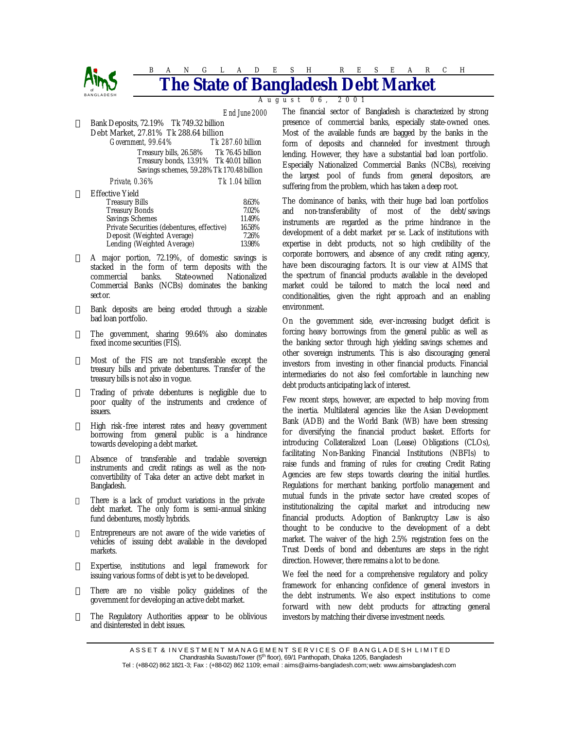

# BANGLADESH RESEARCH **Bangladesh**

August 06, 2001

*End June 2000* Bank Deposits, 72.19% Tk 749.32 billion Debt Market, 27.81% Tk 288.64 billion *Government, 99.64% Tk 287.60 billion*  Treasury bills, 26.58% Tk 76.45 billion Treasury bonds, 13.91% Tk 40.01 billion Savings schemes, 59.28%Tk 170.48 billion

*Private, 0.36% Tk 1.04 billion* 

Effective Yield

| tecuve 1 ieig                              |        |
|--------------------------------------------|--------|
| <b>Treasury Bills</b>                      | 8.63%  |
| <b>Treasury Bonds</b>                      | 7.02%  |
| <b>Savings Schemes</b>                     | 11.49% |
| Private Securities (debentures, effective) | 16.58% |
| Deposit (Weighted Average)                 | 7.26%  |
| Lending (Weighted Average)                 | 13.98% |

- A major portion, 72.19%, of domestic savings is stacked in the form of term deposits with the commercial banks. State-owned Nationalized Commercial Banks (NCBs) dominates the banking sect or.
- Bank deposits are being eroded through a sizable bad loan portfolio.
- The government, sharing 99.64% also dominates fixed income securities (FIS).
- Most of the FIS are not transferable except the treasury bills and private debentures. Transfer of the treasury bills is not also in vogue.
- Trading of private debentures is negligible due to poor quality of the instruments and credence of issuers.
- High risk -free interest rates and heavy government borrowing from general public is a hindrance towards developing a debt market.
- Absence of transferable and tradable sovereign instruments and credit ratings as well as the nonconvertibility of Taka deter an active debt market in Bangladesh.
- There is a lack of product variations in the private debt market. The only form is semi-annual sinking fund debentures, mostly hybrids.
- Entrepreneurs are not aware of the wide varieties of vehicles of issuing debt available in the developed markets.
- Expertise, institutions and legal framework for issuing various forms of debt is yet to be developed.
- ™ There are no visible policy guidelines of the government for developing an active debt market.
- ™ The Regulatory Authorities appear to be oblivious and disinterested in debt issues.

The financial sector of Bangladesh is characterized by strong presence of commercial banks, especially state-owned ones. Most of the available funds are bagged by the banks in the form of deposits and channeled for investment through lending. However, they have a substantial bad loan portfolio. Especially Nationalized Commercial Banks (NCBs), receiving the largest pool of funds from general depositors, are suffering from the problem, which has taken a deep root.

The dominance of banks, with their huge bad loan portfolios and non-transferability of most of the debt/savings instruments are regarded as the prime hindrance in the development of a debt market *per se*. Lack of institutions with expertise in debt products, not so high credibility of the corporate borrowers, and absence of any credit rating agency, have been discouraging factors. It is our view at AIMS that the spectrum of financial products available in the developed market could be tailored to match the local need and conditionalities, given the right approach and an enabling environment.

On the government side, ever-increasing budget deficit is forcing heavy borrowings from the general public as well as the banking sector through high yielding savings schemes and other sovereign instruments. This is also discouraging general investors from investing in other financial products. Financial intermediaries do not also feel comfortable in launching new debt products anticipating lack of interest.

Few recent steps, however, are expected to help moving from the inertia. Multilateral agencies like the Asian Development Bank (ADB) and the World Bank (WB) have been stressing for diversifying the financial product basket. Efforts for introducing Collateralized Loan (Lease) Obligations (CLOs), facilitating Non-Banking Financial Institutions (NBFIs) to raise funds and framing of rules for creating Credit Rating Agencies are few steps towards clearing the initial hurdles. Regulations for merchant banking, portfolio management and mutual funds in the private sector have created scopes of institutionalizing the capital market and introducing new financial products. Adoption of Bankruptcy Law is also thought to be conducive to the development of a debt market. The waiver of the high 2.5% registration fees on the Trust Deeds of bond and debentures are steps in the right direction. However, there remains a lot to be done.

We feel the need for a comprehensive regulatory and policy framework for enhancing confidence of general investors in the debt instruments. We also expect institutions to come forward with new debt products for attracting general investors by matching their diverse investment needs.

A S S E T & IN VESTMENT MANAGEMENT SERVICES OF BANGLADESH LIMITED Chandrashila SuvastuTower (5<sup>th</sup> floor), 69/1 Panthopath, Dhaka 1205, Bangladesh

Tel: (+88-02) 862 1821-3; Fax: (+88-02) 862 1109; e-mail: aims@aims-bangladesh.com; web: www.aimsbangladesh.com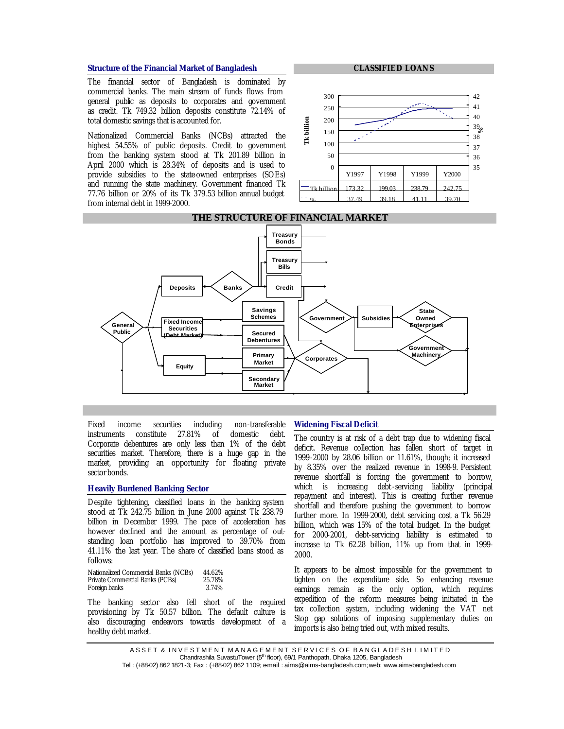#### **Structure of the Financial Market of Bangladesh**

The financial sector of Bangladesh is dominated by commercial banks. The main stream of funds flows from general public as deposits to corporates and government as credit. Tk 749.32 billion deposits constitute 72.14% of total domestic savings that is accounted for.

Nationalized Commercial Banks (NCBs) attracted the highest 54.55% of public deposits. Credit to government from the banking system stood at Tk 201.89 billion in April 2000 which is 28.34% of deposits and is used to provide subsidies to the state-owned enterprises (SOEs) and running the state machinery. Government financed Tk 77.76 billion or 20% of its Tk 379.53 billion annual budget from internal debt in 1999-2000.

#### **CLASSIFIED LOANS**



# **THE STRUCTURE OF FINANCIAL MARKET**



Fixed income securities including non-transferable instruments constitute 27.81% of domestic debt. Corporate debentures are only less than 1% of the debt securities market. Therefore, there is a huge gap in the market, providing an opportunity for floating private sector bonds.

## **Heavily Burdened Banking Sector**

Despite tightening, classified loans in the banking system stood at Tk 242.75 billion in June 2000 against Tk 238.79 billion in December 1999. The pace of acceleration has however declined and the amount as percentage of outstanding loan portfolio has improved to 39.70% from 41.11% the last year. The share of classified loans stood as follows:

| Nationalized Commercial Banks (NCBs) | 44.62% |
|--------------------------------------|--------|
| Private Commercial Banks (PCBs)      | 25.78% |
| Foreign banks                        | 3.74%  |

The banking sector also fell short of the required provisioning by Tk 50.57 billion. The default culture is also discouraging endeavors towards development of a healthy debt market.

#### **Widening Fiscal Deficit**

The country is at risk of a debt trap due to widening fiscal deficit. Revenue collection has fallen short of target in 1999-2000 by 28.06 billion or 11.61%, though; it increased by 8.35% over the realized revenue in 1998-9. Persistent revenue shortfall is forcing the government to borrow, which is increasing debt-servicing liability (principal repayment and interest). This is creating further revenue shortfall and therefore pushing the government to borrow further more. In 1999-2000, debt servicing cost a Tk 56.29 billion, which was 15% of the total budget. In the budget for 2000-2001, debt-servicing liability is estimated to increase to Tk 62.28 billion, 11% up from that in 1999- 2000.

It appears to be almost impossible for the government to tighten on the expenditure side. So enhancing revenue earnings remain as the only option, which requires expedition of the reform measures being initiated in the tax collection system, including widening the VAT net Stop gap solutions of imposing supplementary duties on imports is also being tried out, with mixed results.

ASSET & INVESTMENT MANAGEMENT SERVICES OF BANGLADESH LIMITED Chandrashila SuvastuTower (5<sup>th</sup> floor), 69/1 Panthopath, Dhaka 1205, Bangladesh

Tel: (+88-02) 862 1821-3; Fax: (+88-02) 862 1109; e-mail: aims@aims-bangladesh.com; web: www.aimsbangladesh.com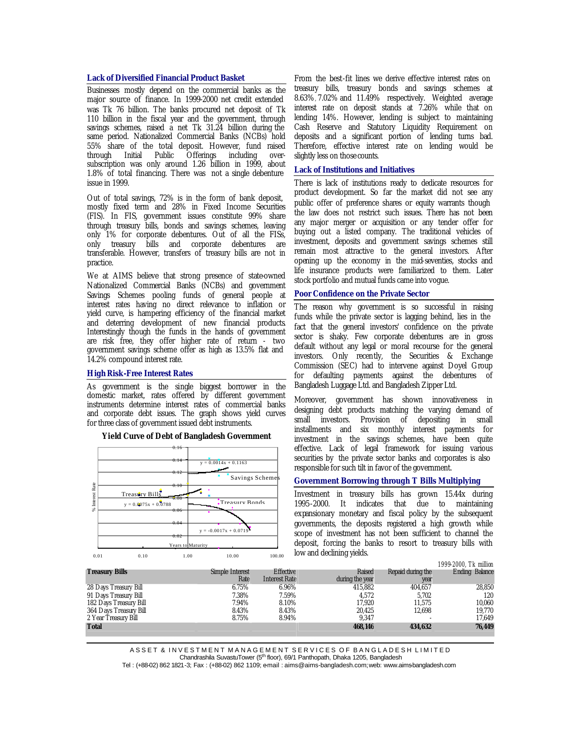#### **Lack of Diversified Financial Product Basket**

Businesses mostly depend on the commercial banks as the major source of finance. In 1999-2000 net credit extended was Tk 76 billion. The banks procured net deposit of Tk 110 billion in the fiscal year and the government, through savings schemes, raised a net Tk 31.24 billion during the same period. Nationalized Commercial Banks (NCBs) hold 55% share of the total deposit. However, fund raised through Initial Public Offerings including oversubscription was only around 1.26 billion in 1999, about 1.8% of total financing. There was not a single debenture issue in 1999.

Out of total savings, 72% is in the form of bank deposit, mostly fixed term and 28% in Fixed Income Securities (FIS). In FIS, government issues constitute 99% share through treasury bills, bonds and savings schemes, leaving only 1% for corporate debentures. Out of all the FISs, only treasury bills and corporate debentures are transferable. However, transfers of treasury bills are not in practice.

We at AIMS believe that strong presence of state-owned Nationalized Commercial Banks (NCBs) and government Savings Schemes pooling funds of general people at interest rates having no direct relevance to inflation or yield curve, is hampering efficiency of the financial market and deterring development of new financial products. Interestingly though the funds in the hands of government are risk free, they offer higher rate of return - two government savings scheme offer as high as 13.5% flat and 14.2% compound interest rate.

#### **High Risk-Free Interest Rates**

As government is the single biggest borrower in the domestic market, rates offered by different government instruments determine interest rates of commercial banks and corporate debt issues. The graph shows yield curves for three class of government issued debt instruments.



#### **Yield Curve of Debt of Bangladesh Government**

From the best-fit lines we derive effective interest rates on treasury bills, treasury bonds and savings schemes at 8.63%, 7.02% and 11.49% respectively. Weighted average interest rate on deposit stands at 7.26% while that on lending 14%. However, lending is subject to maintaining Cash Reserve and Statutory Liquidity Requirement on deposits and a significant portion of lending turns bad. Therefore, effective interest rate on lending would be slightly less on those counts.

# **Lack of Institutions and Initiatives**

There is lack of institutions ready to dedicate resources for product development. So far the market did not see any public offer of preference shares or equity warrants though the law does not restrict such issues. There has not been any major merger or acquisition or any tender offer for buying out a listed company. The traditional vehicles of investment, deposits and government savings schemes still remain most attractive to the general investors. After opening up the economy in the mid-seventies, stocks and life insurance products were familiarized to them. Later stock portfolio and mutual funds came into vogue.

## **Poor Confidence on the Private Sector**

The reason why government is so successful in raising funds while the private sector is lagging behind, lies in the fact that the general investors' confidence on the private sector is shaky. Few corporate debentures are in gross default without any legal or moral recourse for the general investors. Only recently, the Securities & Exchange Commission (SEC) had to intervene against Doyel Group for defaulting payments against the debentures of Bangladesh Luggage Ltd. and Bangladesh Zipper Ltd.

Moreover, government has shown innovativeness in designing debt products matching the varying demand of small investors. Provision of depositing in small installments and six monthly interest payments for investment in the savings schemes, have been quite effective. Lack of legal framework for issuing various securities by the private sector banks and corporates is also responsible for such tilt in favor of the government.

## **Government Borrowing through T Bills Multiplying**

Investment in treasury bills has grown 15.44x during 1995-2000. It indicates that due to maintaining expansionary monetary and fiscal policy by the subsequent governments, the deposits registered a high growth while scope of investment has not been sufficient to channel the deposit, forcing the banks to resort to treasury bills with low and declining yields.

|                        |                 |                      |                 |                   | 1999-2000, Tk million |
|------------------------|-----------------|----------------------|-----------------|-------------------|-----------------------|
| <b>Treasury Bills</b>  | Simple Interest | <b>Effective</b>     | Raised          | Repaid during the | <b>Ending Balance</b> |
|                        | Rate            | <b>Interest Rate</b> | during the year | year              |                       |
| 28 Days Treasury Bill  | 6.75%           | 6.96%                | 415,882         | 404,657           | 28,850                |
| 91 Days Treasury Bill  | 7.38%           | 7.59%                | 4.572           | 5.702             | 120                   |
| 182 Days Treasury Bill | 7.94%           | 8.10%                | 17.920          | 11.575            | 10,060                |
| 364 Days Treasury Bill | 8.43%           | 8.43%                | 20,425          | 12.698            | 19,770                |
| 2 Year Treasury Bill   | 8.75%           | 8.94%                | 9.347           |                   | 17,649                |
| <b>Total</b>           |                 |                      | 468,146         | 434.632           | 76,449                |
|                        |                 |                      |                 |                   |                       |

ASSET & INVESTMENT MANAGEMENT SERVICES OF BANGLADESH LIMITED

Chandrashila SuvastuTower (5<sup>th</sup> floor), 69/1 Panthopath, Dhaka 1205, Bangladesh

Tel: (+88-02) 862 1821-3; Fax: (+88-02) 862 1109; e-mail: aims@aims-bangladesh.com; web: www.aimsbangladesh.com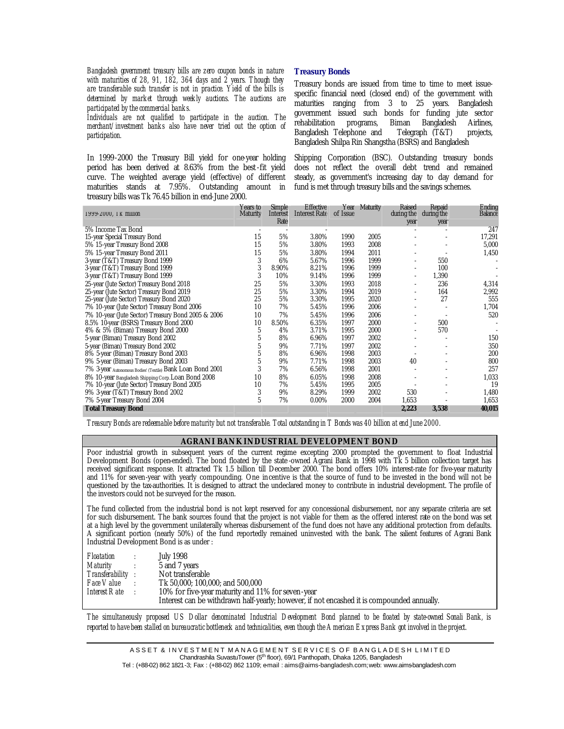*Bangladesh government treasury bills are zero coupon bonds in nature with maturities of 28, 91, 182, 364 days and 2 years. Though they are transferable such transfer is not in practice. Yield of the bills is determined by market through weekly auctions. The auctions are participated by the commercial banks.*

*Individuals are not qualified to participate in the auction. The merchant/investment banks also have never tried out the option of participation.*

In 1999-2000 the Treasury Bill yield for one-year holding period has been derived at 8.63% from the best-fit yield curve. The weighted average yield (effective) of different maturities stands at 7.95%. Outstanding amount in treasury bills was Tk 76.45 billion in end-June 2000.

## **Treasury Bonds**

Treasury bonds are issued from time to time to meet issuespecific financial need (closed end) of the government with maturities ranging from 3 to 25 years. Bangladesh government issued such bonds for funding jute sector rehabilitation programs, Biman Bangladesh Airlines, rehabilitation programs, Biman Bangladesh Airlines, Bangladesh Telephone and Telegraph (T&T) projects, Bangladesh Shilpa Rin Shangstha (BSRS) and Bangladesh

Shipping Corporation (BSC). Outstanding treasury bonds does not reflect the overall debt trend and remained steady, as government's increasing day to day demand for fund is met through treasury bills and the savings schemes.

| 1999-2000, TK million                                      | Years to<br><b>Maturity</b> | <b>Simple</b><br>Interest<br>Rate | <b>Effective</b><br><b>Interest Rate</b> | of Issue | Year Maturity | Raised<br>during the     | Repaid<br>during the | Ending<br><b>Balance</b> |
|------------------------------------------------------------|-----------------------------|-----------------------------------|------------------------------------------|----------|---------------|--------------------------|----------------------|--------------------------|
| 5% Income Tax Bond                                         |                             |                                   |                                          |          |               | year                     | year                 | 247                      |
| 15-year Special Treasury Bond                              | 15                          | 5%                                | 3.80%                                    | 1990     | 2005          |                          |                      | 17,291                   |
| 5% 15-year Treasury Bond 2008                              | 15                          | 5%                                | 3.80%                                    | 1993     | 2008          |                          |                      | 5,000                    |
| 5% 15-year Treasury Bond 2011                              | 15                          | 5%                                | 3.80%                                    | 1994     | 2011          |                          |                      | 1,450                    |
| 3-year (T&T) Treasury Bond 1999                            | 3                           | 6%                                | 5.67%                                    | 1996     | 1999          |                          | 550                  |                          |
| 3-year (T&T) Treasury Bond 1999                            | 3                           | 8.90%                             | 8.21%                                    | 1996     | 1999          |                          | 100                  |                          |
| 3-year (T&T) Treasury Bond 1999                            | 3                           | 10%                               | 9.14%                                    | 1996     | 1999          | $\overline{\phantom{a}}$ | 1,390                |                          |
| 25-year (Jute Sector) Treasury Bond 2018                   | 25                          | 5%                                | 3.30%                                    | 1993     | 2018          |                          | 236                  | 4,314                    |
| 25-year (Jute Sector) Treasury Bond 2019                   | 25                          | 5%                                | 3.30%                                    | 1994     | 2019          |                          | 164                  | 2,992                    |
| 25-year (Jute Sector) Treasury Bond 2020                   | 25                          | 5%                                | 3.30%                                    | 1995     | 2020          |                          | 27                   | 555                      |
| 7% 10-year (Jute Sector) Treasury Bond 2006                | 10                          | 7%                                | 5.45%                                    | 1996     | 2006          |                          |                      | 1,704                    |
| 7% 10-year (Jute Sector) Treasury Bond 2005 & 2006         | 10                          | 7%                                | 5.45%                                    | 1996     | 2006          |                          |                      | 520                      |
| 8.5% 10-year (BSRS) Treasury Bond 2000                     | 10                          | 8.50%                             | 6.35%                                    | 1997     | 2000          |                          | 500                  |                          |
| 4% & 5% (Biman) Treasury Bond 2000                         | 5                           | 4%                                | 3.71%                                    | 1995     | 2000          |                          | 570                  |                          |
| 5-year (Biman) Treasury Bond 2002                          |                             | 8%                                | 6.96%                                    | 1997     | 2002          |                          |                      | 150                      |
| 5-year (Biman) Treasury Bond 2002                          |                             | 9%                                | 7.71%                                    | 1997     | 2002          |                          |                      | 350                      |
| 8% 5-year (Biman) Treasury Bond 2003                       |                             | 8%                                | 6.96%                                    | 1998     | 2003          |                          |                      | 200                      |
| 9% 5-year (Biman) Treasury Bond 2003                       |                             | 9%                                | 7.71%                                    | 1998     | 2003          | 40                       |                      | 800                      |
| 7% 3-year Autonomous Bodies' (Textile) Bank Loan Bond 2001 | 3                           | 7%                                | 6.56%                                    | 1998     | 2001          |                          |                      | 257                      |
| 8% 10-year Bangladesh Shipping Corp. Loan Bond 2008        | 10                          | 8%                                | 6.05%                                    | 1998     | 2008          |                          |                      | 1,033                    |
| 7% 10-year (Jute Sector) Treasury Bond 2005                | 10                          | 7%                                | 5.45%                                    | 1995     | 2005          |                          |                      | 19                       |
| 9% 3-year (T&T) Treasury Bond 2002                         | 3                           | 9%                                | 8.29%                                    | 1999     | 2002          | 530                      |                      | 1,480                    |
| 7% 5-year Treasury Bond 2004                               | 5                           | 7%                                | $0.00\%$                                 | 2000     | 2004          | 1,653                    |                      | 1,653                    |
| <b>Total Treasury Bond</b>                                 |                             |                                   |                                          |          |               | 2,223                    | 3,538                | 40,015                   |

*Treasury Bonds are redeemable before maturity but not transferable. Total outstanding in T Bonds was 40 billion at end June 2000.*

#### **AGRANI BANK INDUSTRIAL DEVELOPMENT BOND**

Poor industrial growth in subsequent years of the current regime excepting 2000 prompted the government to float Industrial Development Bonds (open-ended). The bond floated by the state -owned Agrani Bank in 1998 with Tk 5 billion collection target has received significant response. It attracted Tk 1.5 billion till December 2000. The bond offers 10% interest-rate for five-year maturity and 11% for seven-year with yearly compounding. One incentive is that the source of fund to be invested in the bond will not be questioned by the tax-authorities. It is designed to attract the undeclared money to contribute in industrial development. The profile of the investors could not be surveyed for the reason.

The fund collected from the industrial bond is not kept reserved for any concessional disbursement, nor any separate criteria are set for such disbursement. The bank sources found that the project is not viable for them as the offered interest rate on the bond was set at a high level by the government unilaterally whereas disbursement of the fund does not have any additional protection from defaults. A significant portion (nearly 50%) of the fund reportedly remained uninvested with the bank. The salient features of Agrani Bank Industrial Development Bond is as under :

| Floatation                  | July 1998                                                                                  |
|-----------------------------|--------------------------------------------------------------------------------------------|
| Maturity                    | 5 and 7 years                                                                              |
| Transferability :           | Not transferable                                                                           |
| <i>Face Value :</i>         | Tk 50,000: 100,000: and 500,000                                                            |
| Interest R ate $\therefore$ | 10% for five-year maturity and 11% for seven-year                                          |
|                             | Interest can be withdrawn half-yearly; however, if not encashed it is compounded annually. |

*The simultaneously proposed US Dollar denominated Industrial Development Bond planned to be floated by state-owned Sonali Bank, is reported to have been stalled on bureaucratic bottleneck and technicalities, even though the American Express Bank got involved in the project.*

A S S E T & IN VESTMENT MANAGEMENT SERVICES OF BANGLADESH LIMITED Chandrashila SuvastuTower (5<sup>th</sup> floor), 69/1 Panthopath, Dhaka 1205, Bangladesh

Tel: (+88-02) 862 1821-3; Fax: (+88-02) 862 1109; e-mail: aims@aims-bangladesh.com; web: www.aimsbangladesh.com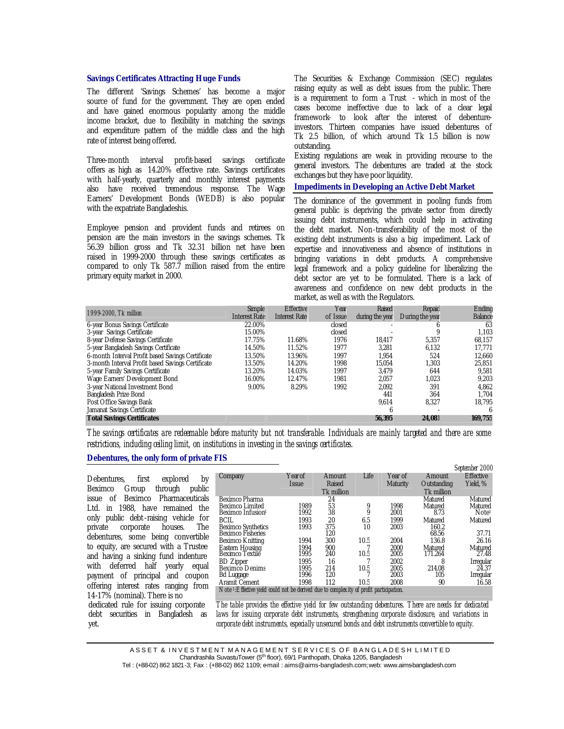#### **Savings Certificates Attracting Huge Funds**

The different 'Savings Schemes' has become a major source of fund for the government. They are open ended and have gained enormous popularity among the middle income bracket, due to flexibility in matching the savings and expenditure pattern of the middle class and the high rate of interest being offered.

Three-month interval profit-based savings certificate offers as high as 14.20% effective rate. Savings certificates with half-yearly, quarterly and monthly interest payments also have received tremendous response. The Wage Earners' Development Bonds (WEDB) is also popular with the expatriate Bangladeshis.

Employee pension and provident funds and retirees on pension are the main investors in the savings schemes. Tk 56.39 billion gross and Tk 32.31 billion net have been raised in 1999-2000 through these savings certificates as compared to only Tk 587.7 million raised from the entire primary equity market in 2000.

The Securities & Exchange Commission (SEC) regulates raising equity as well as debt issues from the public. There is a requirement to form a Trust - which in most of the cases become ineffective due to lack of a clear legal framework- to look after the interest of debentureinvestors. Thirteen companies have issued debentures of Tk 2.5 billion, of which around Tk 1.5 billion is now outstanding.

Existing regulations are weak in providing recourse to the general investors. The debentures are traded at the stock exchanges but they have poor liquidity.

# **Impediments in Developing an Active Debt Market**

The dominance of the government in pooling funds from general public is depriving the private sector from directly issuing debt instruments, which could help in activating the debt market. Non-transferability of the most of the existing debt instruments is also a big impediment. Lack of expertise and innovativeness and absence of institutions in bringing variations in debt products. A comprehensive legal framework and a policy guideline for liberalizing the debt sector are yet to be formulated. There is a lack of awareness and confidence on new debt products in the market, as well as with the Regulators.

*September 2000*

|                                                   | Simple               | <b>Effective</b>     | Year     | Raised          | Repaid          | Ending         |
|---------------------------------------------------|----------------------|----------------------|----------|-----------------|-----------------|----------------|
| 1999-2000. Tk million                             | <b>Interest Rate</b> | <b>Interest Rate</b> | of Issue | during the year | During the year | <b>Balance</b> |
| 6-year Bonus Savings Certificate                  | 22.00%               |                      | closed   |                 |                 | 63             |
| 3-year Savings Certificate                        | 15.00%               |                      | closed   |                 |                 | 1,103          |
| 8-year Defense Savings Certificate                | 17.75%               | 11.68%               | 1976     | 18.417          | 5,357           | 68.157         |
| 5-year Bangladesh Savings Certificate             | 14.50%               | 11.52%               | 1977     | 3,281           | 6,132           | 17,771         |
| 6-month Interval Profit based Savings Certificate | 13.50%               | 13.96%               | 1997     | 1.954           | 524             | 12,660         |
| 3-month Interval Profit based Savings Certificate | 13.50%               | 14.20%               | 1998     | 15.054          | 1,303           | 25,851         |
| 5-year Family Savings Certificate                 | 13.20%               | 14.03%               | 1997     | 3.479           | 644             | 9,581          |
| Wage Earners' Development Bond                    | 16.00%               | 12.47%               | 1981     | 2,057           | 1,023           | 9.203          |
| 3-year National Investment Bond                   | 9.00%                | 8.29%                | 1992     | 2,092           | 391             | 4,862          |
| Bangladesh Prize Bond                             |                      |                      |          | 441             | 364             | 1,704          |
| Post Office Savings Bank                          |                      |                      |          | 9.614           | 8,327           | 18,795         |
| Jamanat Savings Certificate                       |                      |                      |          | 6               |                 | 6              |
| <b>Total Savings Certificates</b>                 |                      |                      |          | 56,395          | 24,081          | 169,755        |

*The savings certificates are redeemable before maturity but not transferable. Individuals are mainly targeted and there are some restrictions, including ceiling limit, on institutions in investing in the savings certificates.*

## **Debentures, the only form of private FIS**

Debentures, first explored by Beximco Group through public issue of Beximco Pharmaceuticals Ltd. in 1988, have remained the only public debt-raising vehicle for private corporate houses. The debentures, some being convertible to equity, are secured with a Trustee and having a sinking fund indenture with deferred half yearly equal payment of principal and coupon offering interest rates ranging from 14-17% (nominal). There is no dedicated rule for issuing corporate debt securities in Bangladesh as

yet.

|                                                                                             |              |            |      |                 |             | September zuuu    |
|---------------------------------------------------------------------------------------------|--------------|------------|------|-----------------|-------------|-------------------|
| Company                                                                                     | Year of      | Amount     | Life | Year of         | Amount      | <b>Effective</b>  |
|                                                                                             | <b>Issue</b> | Raised     |      | <b>Maturity</b> | Outstanding | Yield, %          |
|                                                                                             |              | Tk million |      |                 | Tk million  |                   |
| Beximco Pharma                                                                              |              | 24         |      |                 | Matured     | Matured           |
| Beximco Limited                                                                             | 1989         | 53         | 9    | 1998            | Matured     | Matured           |
| Beximco Infusion                                                                            | 1992         | 38         |      | 2001            | 8.73        | Note <sup>1</sup> |
| BCIL                                                                                        | 1993         | 20         | 6.5  | 1999            | Matured     | Matured           |
| <b>Beximco Synthetics</b>                                                                   | 1993         | 375        | 10   | 2003            | 160.2       |                   |
| <b>Beximco Fisheries</b>                                                                    |              | 120        |      |                 | 68.56       | 37.71             |
| <b>Beximco Knitting</b>                                                                     | 1994         | 300        | 10.5 | 2004            | 136.8       | 26.16             |
| Eastern Housing                                                                             | 1994         | 900        |      | 2000            | Matured     | Matured           |
| Beximco Textile                                                                             | 1995         | 240        | 10.5 | 2005            | 171.264     | 27.48             |
| <b>BD</b> Zipper                                                                            | 1995         | 16         |      | 2002            | 8           | Irregular         |
| <b>Beximco Denims</b>                                                                       | 1995         | 214        | 10.5 | 2005            | 214.08      | 24.37             |
| <b>Bd</b> Luggage                                                                           | 1996         | 120        |      | 2003            | 105         | Irregular         |
| Aramit Cement                                                                               | 1998         | 112        | 10.5 | 2008            | 90          | 16.58             |
| Note <i>LEffective vield could not be derived due to complexity of profit participation</i> |              |            |      |                 |             |                   |

*The table provides the effective yield for few outstanding debentures. There are needs for dedicated laws for issuing corporate debt instruments, strengthening corporate disclosure, and variations in corporate debt instruments, especially unsecured bonds and debt instruments convertible to equity.*

A S S E T & IN VESTMENT MANAGEMENT SERVICES OF BANGLADESH LIMITED Chandrashila SuvastuTower (5<sup>th</sup> floor), 69/1 Panthopath, Dhaka 1205, Bangladesh

Tel: (+88-02) 862 1821-3; Fax: (+88-02) 862 1109; e-mail: aims@aims-bangladesh.com; web: www.aimsbangladesh.com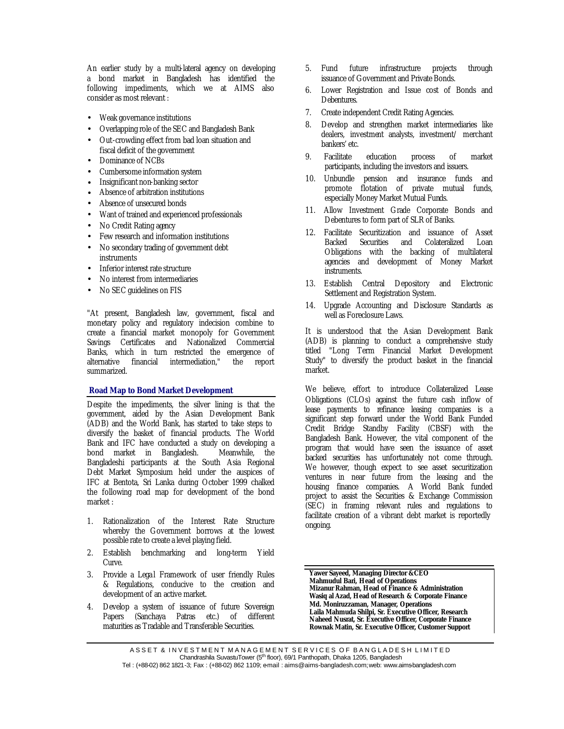An earlier study by a multi-lateral agency on developing a bond market in Bangladesh has identified the following impediments, which we at AIMS also consider as most relevant :

- Weak governance institutions
- Overlapping role of the SEC and Bangladesh Bank
- Out-crowding effect from bad loan situation and fiscal deficit of the government
- Dominance of NCBs
- Cumbersome information system
- Insignificant non-banking sector
- Absence of arbitration institutions
- Absence of unsecured bonds
- Want of trained and experienced professionals
- No Credit Rating agency
- Few research and information institutions
- No secondary trading of government debt instruments
- Inferior interest rate structure
- No interest from intermediaries
- No SEC guidelines on FIS

"At present, Bangladesh law, government, fiscal and monetary policy and regulatory indecision combine to create a financial market monopoly for Government Savings Certificates and Nationalized Commercial Banks, which in turn restricted the emergence of alternative financial intermediation," the report summarized.

## **Road Map to Bond Market Development**

Despite the impediments, the silver lining is that the government, aided by the Asian Development Bank (ADB) and the World Bank, has started to take steps to diversify the basket of financial products. The World Bank and IFC have conducted a study on developing a bond market in Bangladesh. Bangladeshi participants at the South Asia Regional Debt Market Symposium held under the auspices of IFC at Bentota, Sri Lanka during October 1999 chalked the following road map for development of the bond market :

- 1. Rationalization of the Interest Rate Structure whereby the Government borrows at the lowest possible rate to create a level playing field.
- 2. Establish benchmarking and long-term Yield Curve.
- 3. Provide a Legal Framework of user friendly Rules & Regulations, conducive to the creation and development of an active market.
- 4. Develop a system of issuance of future Sovereign Papers (Sanchaya Patras etc.) of different maturities as Tradable and Transferable Securities.
- 5. Fund future infrastructure projects through issuance of Government and Private Bonds.
- 6. Lower Registration and Issue cost of Bonds and Debentures.
- 7. Create independent Credit Rating Agencies.
- 8. Develop and strengthen market intermediaries like dealers, investment analysts, investment/ merchant bankers' etc.
- 9. Facilitate education process of market participants, including the investors and issuers.
- 10. Unbundle pension and insurance funds and promote flotation of private mutual funds, especially Money Market Mutual Funds.
- 11. Allow Investment Grade Corporate Bonds and Debentures to form part of SLR of Banks.
- 12. Facilitate Securitization and issuance of Asset Backed Securities and Colateralized Loan Obligations with the backing of multilateral agencies and development of Money Market instruments.
- 13. Establish Central Depository and Electronic Settlement and Registration System.
- 14. Upgrade Accounting and Disclosure Standards as well as Foreclosure Laws.

It is understood that the Asian Development Bank (ADB) is planning to conduct a comprehensive study titled "Long Term Financial Market Development Study" to diversify the product basket in the financial market.

We believe, effort to introduce Collateralized Lease Obligations (CLOs) against the future cash inflow of lease payments to refinance leasing companies is a significant step forward under the World Bank Funded Credit Bridge Standby Facility (CBSF) with the Bangladesh Bank. However, the vital component of the program that would have seen the issuance of asset backed securities has unfortunately not come through. We however, though expect to see asset securitization ventures in near future from the leasing and the housing finance companies. A World Bank funded project to assist the Securities & Exchange Commission (SEC) in framing relevant rules and regulations to facilitate creation of a vibrant debt market is reportedly ongoing.

**Yawer Sayeed, Managing Director &CEO Mahmudul Bari, Head of Operations Mizanur Rahman, Head of Finance & Administration Wasiq al Azad, Head of Research & Corporate Finance Md. Moniruzzaman, Manager, Operations Laila Mahmuda Shilpi, Sr. Executive Officer, Research Naheed Nusrat, Sr. Executive Officer, Corporate Finance Rownak Matin, Sr. Executive Officer, Customer Support** 

A S S E T & IN VESTMENT MANAGEMENT SERVICES OF BANGLADESH LIMITED Chandrashila SuvastuTower (5<sup>th</sup> floor), 69/1 Panthopath, Dhaka 1205, Bangladesh

Tel: (+88-02) 862 1821-3; Fax: (+88-02) 862 1109; e-mail: aims@aims-bangladesh.com; web: www.aimsbangladesh.com